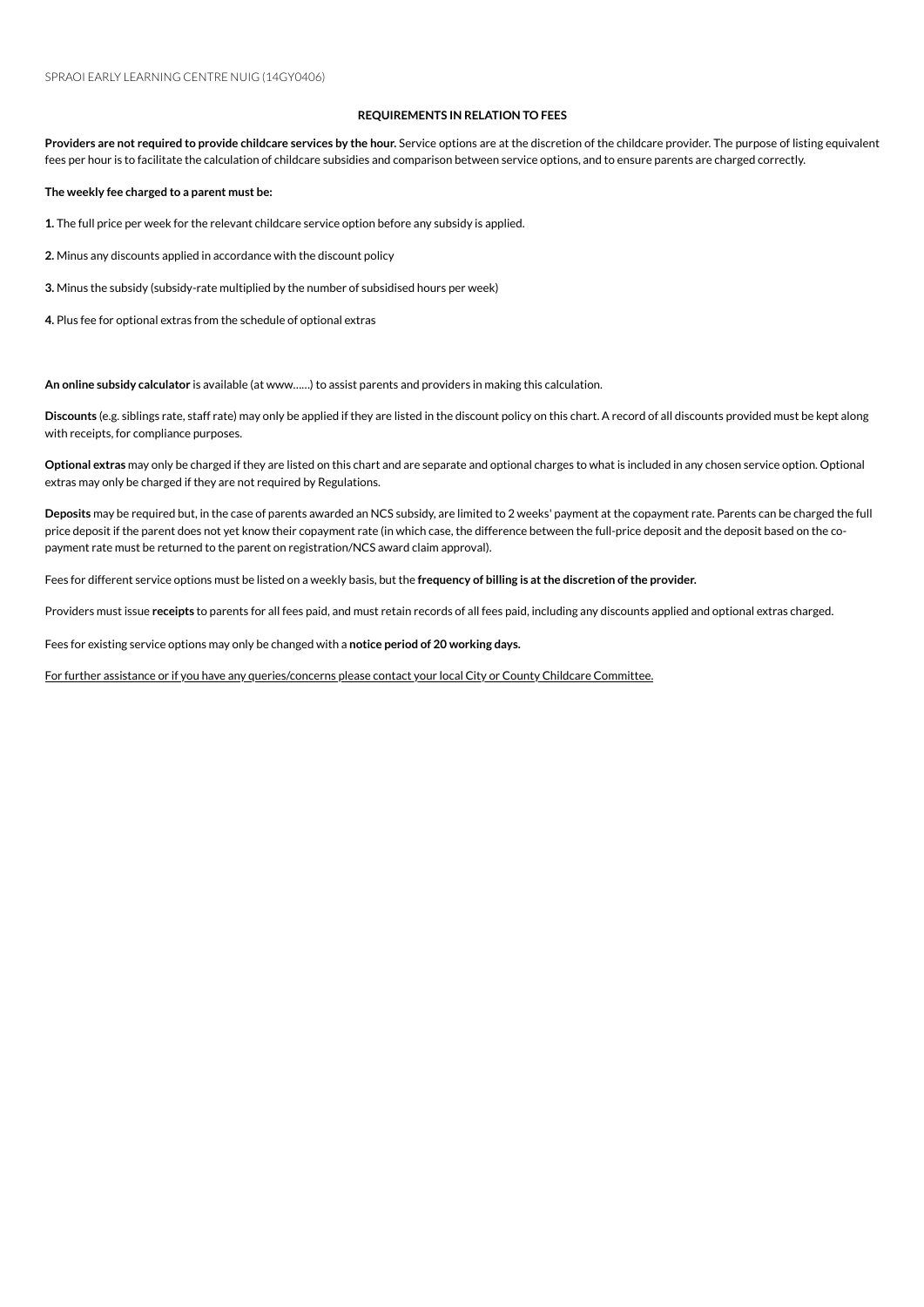## **REQUIREMENTS IN RELATION TO FEES**

Providers are not required to provide childcare services by the hour. Service options are at the discretion of the childcare provider. The purpose of listing equivalent fees per hour is to facilitate the calculation of childcare subsidies and comparison between service options, and to ensure parents are charged correctly.

**The weekly fee charged to a parent must be:**

1. The full price per week for the relevant childcare service option before any subsidy is applied.

2. Minus any discounts applied in accordance with the discount policy

**3.** Minus the subsidy (subsidy-rate multiplied by the number of subsidised hours per week)

4. Plus fee for optional extras from the schedule of optional extras

An online subsidy calculator is available (at www......) to assist parents and providers in making this calculation.

**Discounts** (e.g. siblings rate, staff rate) mayonly be applied if they are listed inthe discount policyonthis chart. A record of all discounts provided must be kept along with receipts, for compliance purposes.

**Optional extras** mayonly be charged if they are listed onthis chart and are separate and optional charges to what is included inany chosenserviceoption. Optional extras may only be charged if they are not required by Regulations.

Deposits may be required but, in the case of parents awarded an NCS subsidy, are limited to 2 weeks' payment at the copayment rate. Parents can be charged the full price deposit if the parent does not yet know their copayment rate (in which case, the difference between the full-price deposit and the deposit based on the copayment rate must be returned to the parent on registration/NCS award claim approval).

Fees for different serviceoptions must be listed ona weekly basis, but the **frequency of billing is atthe discretion ofthe provider.**

Providers must issue receipts to parents for all fees paid, and must retain records of all fees paid, including any discounts applied and optional extras charged.

Fees for existing service options may only be changed with a notice period of 20 working days.

For further assistance or if you have any queries/concerns please contact your local City or County Childcare Committee.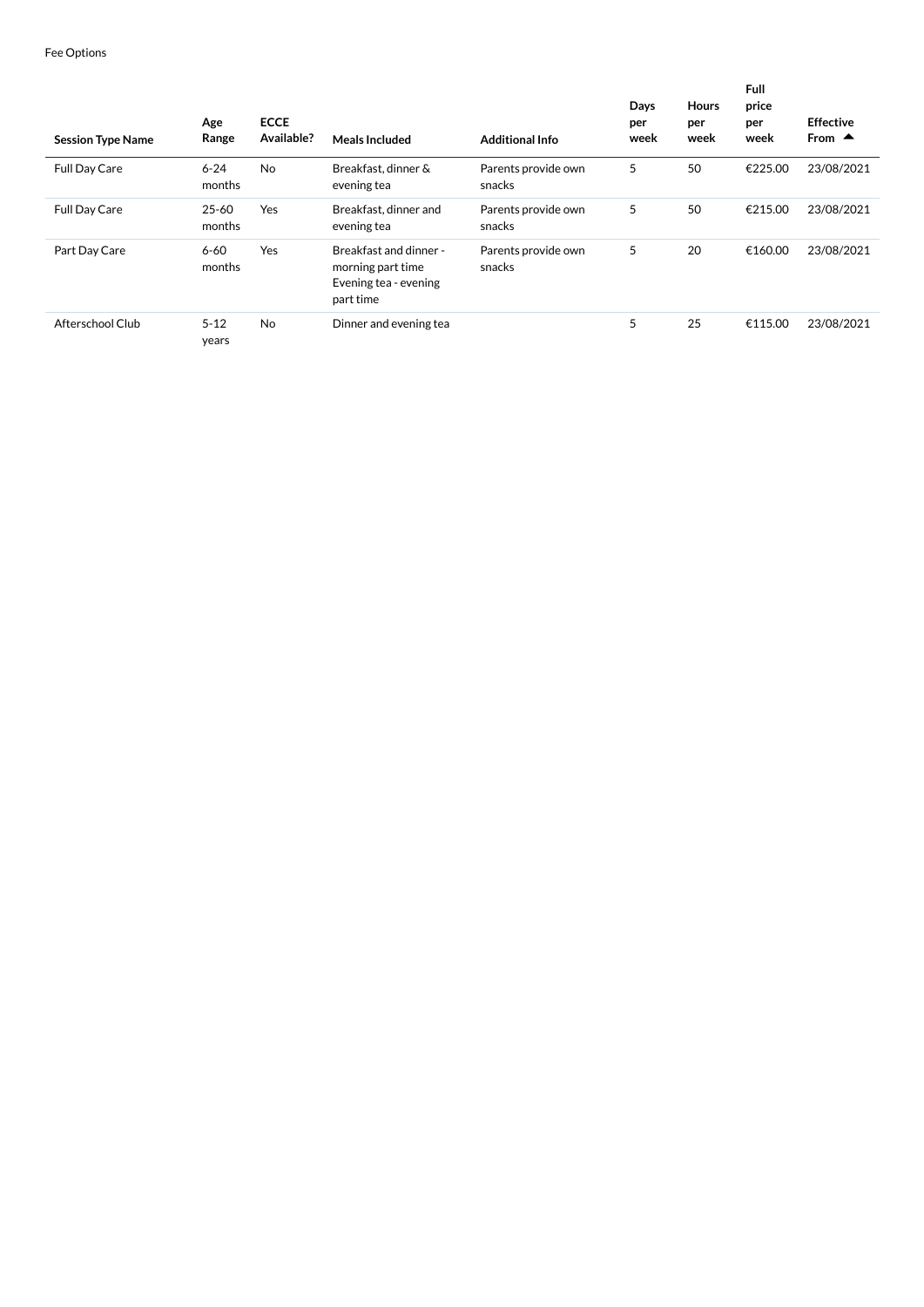| <b>Session Type Name</b> | Age<br>Range        | <b>ECCE</b><br>Available? | Meals Included                                                                    | <b>Additional Info</b>        | Days<br>per<br>week | <b>Hours</b><br>per<br>week | <b>Full</b><br>price<br>per<br>week | <b>Effective</b><br>From $\triangle$ |
|--------------------------|---------------------|---------------------------|-----------------------------------------------------------------------------------|-------------------------------|---------------------|-----------------------------|-------------------------------------|--------------------------------------|
| <b>Full Day Care</b>     | $6 - 24$<br>months  | <b>No</b>                 | Breakfast, dinner &<br>evening tea                                                | Parents provide own<br>snacks | 5                   | 50                          | €225.00                             | 23/08/2021                           |
| <b>Full Day Care</b>     | $25 - 60$<br>months | Yes                       | Breakfast, dinner and<br>evening tea                                              | Parents provide own<br>snacks | 5                   | 50                          | €215.00                             | 23/08/2021                           |
| Part Day Care            | $6 - 60$<br>months  | Yes                       | Breakfast and dinner -<br>morning part time<br>Evening tea - evening<br>part time | Parents provide own<br>snacks | 5                   | 20                          | €160.00                             | 23/08/2021                           |
| Afterschool Club         | $5 - 12$<br>years   | No                        | Dinner and evening tea                                                            |                               | 5                   | 25                          | €115.00                             | 23/08/2021                           |